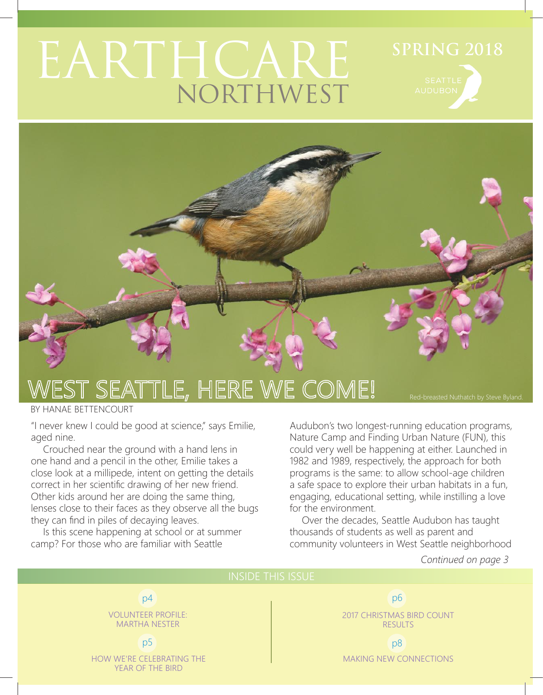## EARTHCARE NORTHWEST



## EST SEATTLE, HERE WE COME!

BY HANAE BETTENCOURT

"I never knew I could be good at science," says Emilie, aged nine.

Crouched near the ground with a hand lens in one hand and a pencil in the other, Emilie takes a close look at a millipede, intent on getting the details correct in her scientific drawing of her new friend. Other kids around her are doing the same thing, lenses close to their faces as they observe all the bugs they can find in piles of decaying leaves.

Is this scene happening at school or at summer camp? For those who are familiar with Seattle

Audubon's two longest-running education programs, Nature Camp and Finding Urban Nature (FUN), this could very well be happening at either. Launched in 1982 and 1989, respectively, the approach for both programs is the same: to allow school-age children a safe space to explore their urban habitats in a fun, engaging, educational setting, while instilling a love for the environment.

Over the decades, Seattle Audubon has taught thousands of students as well as parent and community volunteers in West Seattle neighborhood

#### *Continued on page 3*

Red-breasted Nuthatch by Steve Byland.

#### INSIDE THIS ISSUE

p4

VOLUNTEER PROFILE: MARTHA NESTER

#### p5

HOW WE'RE CELEBRATING THE YEAR OF THE BIRD

2017 CHRISTMAS BIRD COUNT RESULTS p6

p8 MAKING NEW CONNECTIONS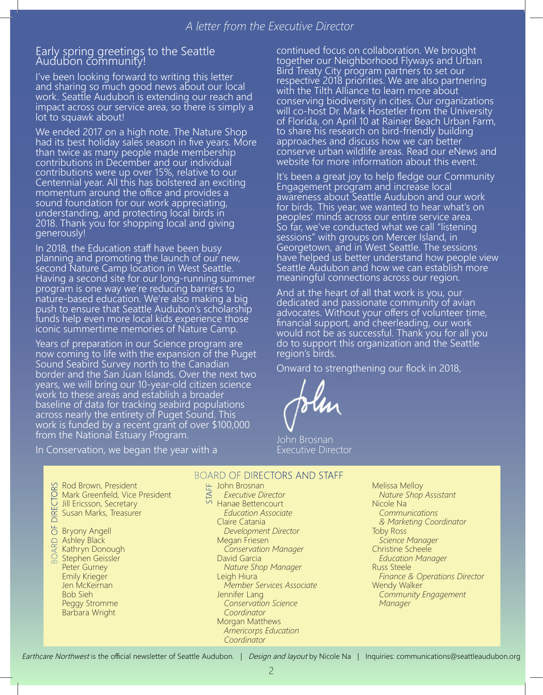#### Early spring greetings to the Seattle Audubon community!

I've been looking forward to writing this letter and sharing so much good news about our local work. Seattle Audubon is extending our reach and impact across our service area, so there is simply a lot to squawk about!

We ended 2017 on a high note. The Nature Shop had its best holiday sales season in five years. More than twice as many people made membership contributions in December and our individual contributions were up over 15%, relative to our Centennial year. All this has bolstered an exciting momentum around the office and provides a sound foundation for our work appreciating, understanding, and protecting local birds in 2018. Thank you for shopping local and giving generously!

In 2018, the Education staff have been busy planning and promoting the launch of our new, second Nature Camp location in West Seattle. Having a second site for our long-running summer program is one way we're reducing barriers to nature-based education. We're also making a big push to ensure that Seattle Audubon's scholarship funds help even more local kids experience those iconic summertime memories of Nature Camp.

Years of preparation in our Science program are now coming to life with the expansion of the Puget Sound Seabird Survey north to the Canadian border and the San Juan Islands. Over the next two years, we will bring our 10-year-old citizen science work to these areas and establish a broader baseline of data for tracking seabird populations across nearly the entirety of Puget Sound. This work is funded by a recent grant of over \$100,000 from the National Estuary Program.

In Conservation, we began the year with a

continued focus on collaboration. We brought together our Neighborhood Flyways and Urban Bird Treaty City program partners to set our respective 2018 priorities. We are also partnering with the Tilth Alliance to learn more about conserving biodiversity in cities. Our organizations will co-host Dr. Mark Hostetler from the University of Florida, on April 10 at Rainier Beach Urban Farm, to share his research on bird-friendly building approaches and discuss how we can better conserve urban wildlife areas. Read our eNews and website for more information about this event.

It's been a great joy to help fledge our Community Engagement program and increase local awareness about Seattle Audubon and our work for birds. This year, we wanted to hear what's on peoples' minds across our entire service area. So far, we've conducted what we call "listening sessions" with groups on Mercer Island, in Georgetown, and in West Seattle. The sessions have helped us better understand how people view Seattle Audubon and how we can establish more meaningful connections across our region.

And at the heart of all that work is you, our dedicated and passionate community of avian advocates. Without your offers of volunteer time, financial support, and cheerleading, our work would not be as successful. Thank you for all you do to support this organization and the Seattle region's birds.

Onward to strengthening our flock in 2018,

John Brosnan Executive Director

BOARD OF DIRECTORS Rod Brown, President Mark Greenfield, Vice President Jill Ericsson, Secretary **DIRE** Susan Marks, Treasurer Bryony Angell Ashley Black Kathryn Donough Stephen Geissler Peter Gurney Emily Krieger Jen McKeirnan Bob Sieh Peggy Stromme Barbara Wright

#### BOARD OF DIRECTORS AND STAFF

- 
- 노 John Brosnan<br>즈 *Executive D*<br>오 Hanae Battan  *Executive Director* **Hanae Bettencourt**  *Education Associate* Claire Catania  *Development Director* Megan Friesen  *Conservation Manager* David Garcia  *Nature Shop Manager* Leigh Hiura  *Member Services Associate* Jennifer Lang  *Conservation Science* 
	- *Coordinator*
	- Morgan Matthews  *Americorps Education Coordinator*
- Melissa Melloy  *Nature Shop Assistant* Nicole Na  *Communications & Marketing Coordinator* Toby Ross  *Science Manager* Christine Scheele  *Education Manager* Russ Steele  *Finance & Operations Director* Wendy Walker  *Community Engagement Manager*

Earthcare Northwest is the official newsletter of Seattle Audubon. | Design and layout by Nicole Na | Inquiries: communications@seattleaudubon.org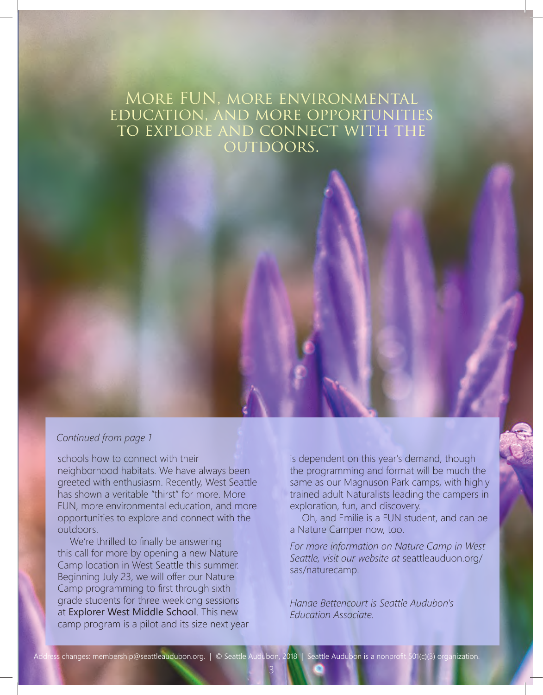### More FUN, more environmental education, and more opportunities to explore and connect with the OUTDOORS.

#### *Continued from page 1*

schools how to connect with their neighborhood habitats. We have always been greeted with enthusiasm. Recently, West Seattle has shown a veritable "thirst" for more. More FUN, more environmental education, and more opportunities to explore and connect with the outdoors.

We're thrilled to finally be answering this call for more by opening a new Nature Camp location in West Seattle this summer. Beginning July 23, we will offer our Nature Camp programming to first through sixth grade students for three weeklong sessions at Explorer West Middle School. This new camp program is a pilot and its size next year is dependent on this year's demand, though the programming and format will be much the same as our Magnuson Park camps, with highly trained adult Naturalists leading the campers in exploration, fun, and discovery.

Oh, and Emilie is a FUN student, and can be a Nature Camper now, too.

*For more information on Nature Camp in West Seattle, visit our website at* seattleauduon.org/ sas/naturecamp.

*Hanae Bettencourt is Seattle Audubon's Education Associate.*

3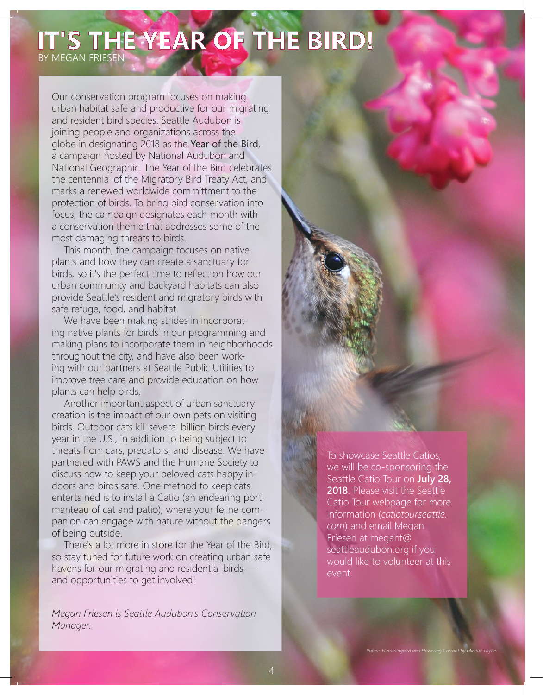## **IT'S THE YEAR OF THE BIRD!**

BY MEGAN FRIESEN

Our conservation program focuses on making urban habitat safe and productive for our migrating and resident bird species. Seattle Audubon is joining people and organizations across the globe in designating 2018 as the Year of the Bird, a campaign hosted by National Audubon and National Geographic. The Year of the Bird celebrates the centennial of the Migratory Bird Treaty Act, and marks a renewed worldwide committment to the protection of birds. To bring bird conservation into focus, the campaign designates each month with a conservation theme that addresses some of the most damaging threats to birds.

This month, the campaign focuses on native plants and how they can create a sanctuary for birds, so it's the perfect time to reflect on how our urban community and backyard habitats can also provide Seattle's resident and migratory birds with safe refuge, food, and habitat.

We have been making strides in incorporating native plants for birds in our programming and making plans to incorporate them in neighborhoods throughout the city, and have also been working with our partners at Seattle Public Utilities to improve tree care and provide education on how plants can help birds.

Another important aspect of urban sanctuary creation is the impact of our own pets on visiting birds. Outdoor cats kill several billion birds every year in the U.S., in addition to being subject to threats from cars, predators, and disease. We have partnered with PAWS and the Humane Society to discuss how to keep your beloved cats happy indoors and birds safe. One method to keep cats entertained is to install a Catio (an endearing portmanteau of cat and patio), where your feline companion can engage with nature without the dangers of being outside.

There's a lot more in store for the Year of the Bird, so stay tuned for future work on creating urban safe havens for our migrating and residential birds and opportunities to get involved!

*Megan Friesen is Seattle Audubon's Conservation Manager.*

To showcase Seattle Catios, we will be co-sponsoring the Seattle Catio Tour on **July 28, 2018**. Please visit the Seattle Catio Tour webpage for more information (*catiotourseattle. com*) and email Megan Friesen at meganf@ seattleaudubon.org if you would like to volunteer at this event.

*Rufous Hummingbird and Flowering Currant by Minette Layne.*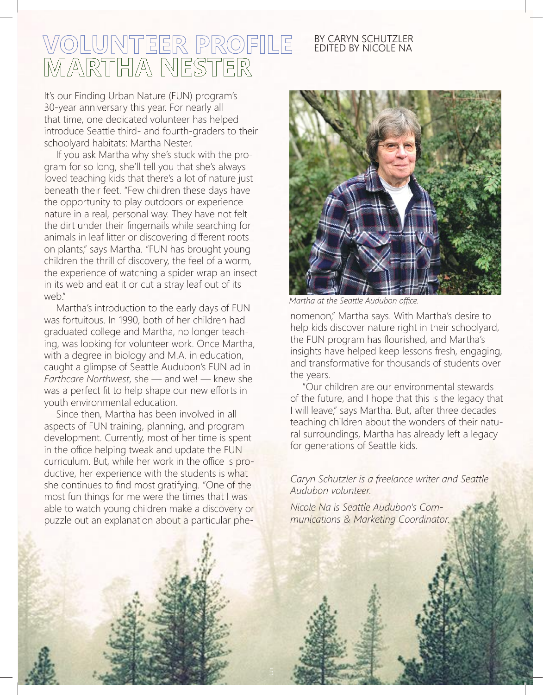# VOLUNTEER PROFILE<br>MARTHA NESTER

#### BY CARYN SCHUTZLER EDITED BY NICOLE NA

It's our Finding Urban Nature (FUN) program's 30-year anniversary this year. For nearly all that time, one dedicated volunteer has helped introduce Seattle third- and fourth-graders to their schoolyard habitats: Martha Nester.

If you ask Martha why she's stuck with the program for so long, she'll tell you that she's always loved teaching kids that there's a lot of nature just beneath their feet. "Few children these days have the opportunity to play outdoors or experience nature in a real, personal way. They have not felt the dirt under their fingernails while searching for animals in leaf litter or discovering different roots on plants," says Martha. "FUN has brought young children the thrill of discovery, the feel of a worm, the experience of watching a spider wrap an insect in its web and eat it or cut a stray leaf out of its web."

Martha's introduction to the early days of FUN was fortuitous. In 1990, both of her children had graduated college and Martha, no longer teaching, was looking for volunteer work. Once Martha, with a degree in biology and M.A. in education, caught a glimpse of Seattle Audubon's FUN ad in *Earthcare Northwest*, she — and we! — knew she was a perfect fit to help shape our new efforts in youth environmental education.

Since then, Martha has been involved in all aspects of FUN training, planning, and program development. Currently, most of her time is spent in the office helping tweak and update the FUN curriculum. But, while her work in the office is productive, her experience with the students is what she continues to find most gratifying. "One of the most fun things for me were the times that I was able to watch young children make a discovery or puzzle out an explanation about a particular phe-



*Martha at the Seattle Audubon office.*

nomenon," Martha says. With Martha's desire to help kids discover nature right in their schoolyard, the FUN program has flourished, and Martha's insights have helped keep lessons fresh, engaging, and transformative for thousands of students over the years.

"Our children are our environmental stewards of the future, and I hope that this is the legacy that I will leave," says Martha. But, after three decades teaching children about the wonders of their natural surroundings, Martha has already left a legacy for generations of Seattle kids.

*Caryn Schutzler is a freelance writer and Seattle Audubon volunteer.*

*Nicole Na is Seattle Audubon's Communications & Marketing Coordinator.*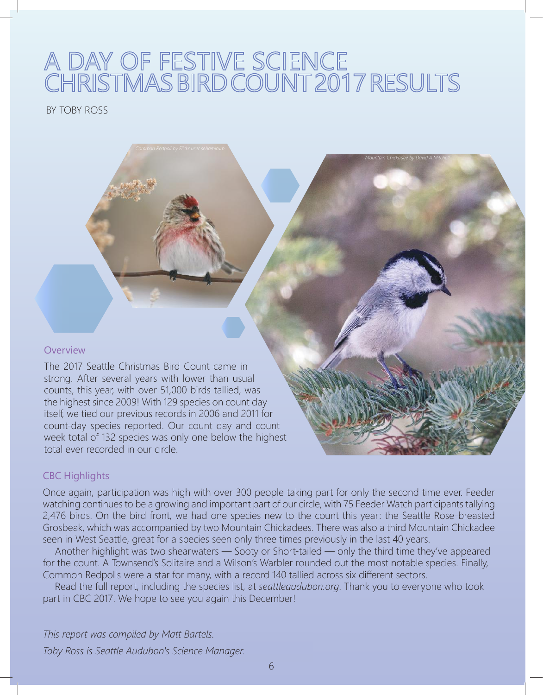# A DAY OF FESTIVE SCIENCE<br>CHRISTMAS BIRD COUNT 2017 RESULTS

*Mountain Chickadee by David A Mitchell.*

BY TOBY ROSS

#### **Overview**

The 2017 Seattle Christmas Bird Count came in strong. After several years with lower than usual counts, this year, with over 51,000 birds tallied, was the highest since 2009! With 129 species on count day itself, we tied our previous records in 2006 and 2011 for count-day species reported. Our count day and count week total of 132 species was only one below the highest total ever recorded in our circle.

#### CBC Highlights

Once again, participation was high with over 300 people taking part for only the second time ever. Feeder watching continues to be a growing and important part of our circle, with 75 Feeder Watch participants tallying 2,476 birds. On the bird front, we had one species new to the count this year: the Seattle Rose-breasted Grosbeak, which was accompanied by two Mountain Chickadees. There was also a third Mountain Chickadee seen in West Seattle, great for a species seen only three times previously in the last 40 years.

Another highlight was two shearwaters — Sooty or Short-tailed — only the third time they've appeared for the count. A Townsend's Solitaire and a Wilson's Warbler rounded out the most notable species. Finally, Common Redpolls were a star for many, with a record 140 tallied across six different sectors.

Read the full report, including the species list, at *seattleaudubon.org*. Thank you to everyone who took part in CBC 2017. We hope to see you again this December!

*This report was compiled by Matt Bartels. Toby Ross is Seattle Audubon's Science Manager.*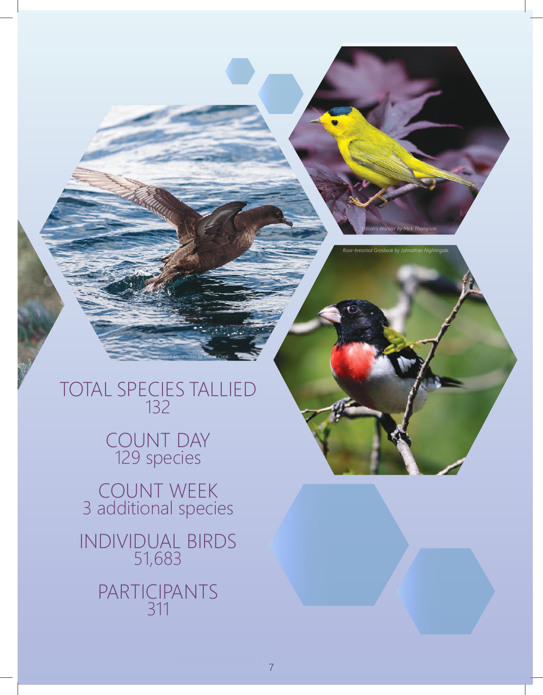*Wilson's Warbler by Mick Thompson.*

*Rose-breasted Grosbeak by Johnathan Nightingale.*

TOTAL SPECIES TALLIED 132

*Short-tailed Shearwater by David Cook.*

## COUNT DAY 129 species

COUNT WEEK 3 additional species

INDIVIDUAL BIRDS 51,683 PARTICIPANTS 311